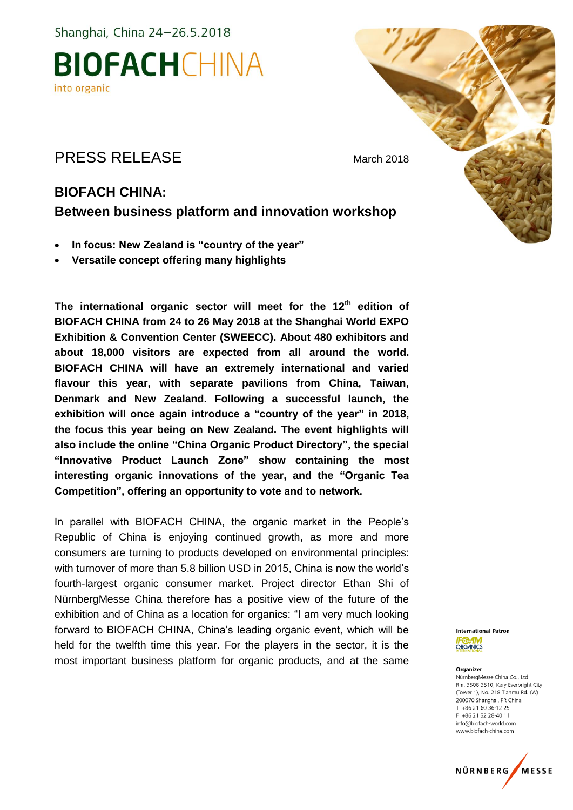

### PRESS RELEASE March 2018

### **BIOFACH CHINA: Between business platform and innovation workshop**

- **In focus: New Zealand is "country of the year"**
- **Versatile concept offering many highlights**

**The international organic sector will meet for the 12th edition of BIOFACH CHINA from 24 to 26 May 2018 at the Shanghai World EXPO Exhibition & Convention Center (SWEECC). About 480 exhibitors and about 18,000 visitors are expected from all around the world. BIOFACH CHINA will have an extremely international and varied flavour this year, with separate pavilions from China, Taiwan, Denmark and New Zealand. Following a successful launch, the exhibition will once again introduce a "country of the year" in 2018, the focus this year being on New Zealand. The event highlights will also include the online "China Organic Product Directory", the special "Innovative Product Launch Zone" show containing the most interesting organic innovations of the year, and the "Organic Tea Competition", offering an opportunity to vote and to network.**

In parallel with BIOFACH CHINA, the organic market in the People's Republic of China is enjoying continued growth, as more and more consumers are turning to products developed on environmental principles: with turnover of more than 5.8 billion USD in 2015, China is now the world's fourth-largest organic consumer market. Project director Ethan Shi of NürnbergMesse China therefore has a positive view of the future of the exhibition and of China as a location for organics: "I am very much looking forward to BIOFACH CHINA, China's leading organic event, which will be held for the twelfth time this year. For the players in the sector, it is the most important business platform for organic products, and at the same



#### Organizer

NürnbergMesse China Co., Ltd Rm. 3508-3510, Kery Everbright City (Tower 1) No. 218 Tianmu Rd (M) 200070 Shanghai, PR China T +86 21 60 36-12 25 F +86 21 52 28-40 11 info@biofach-world.com www.biofach-china.com



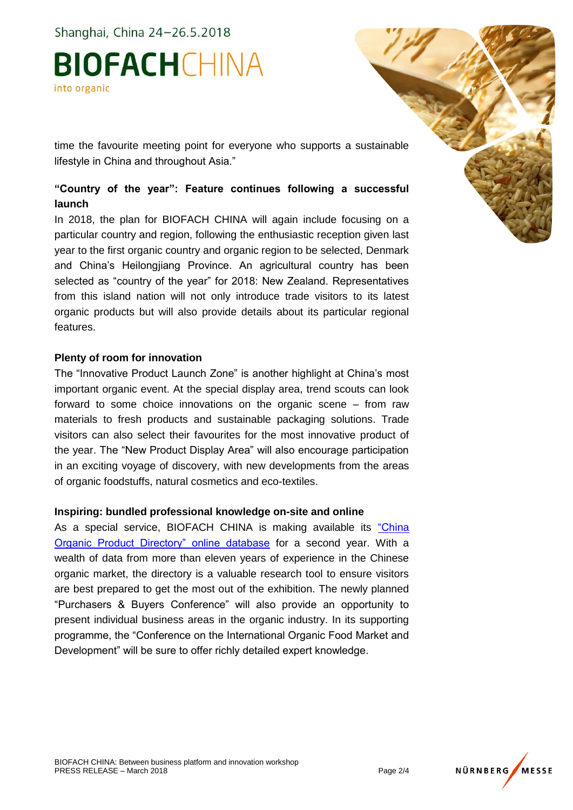## **BIOFACHCHINA** into organic

time the favourite meeting point for everyone who supports a sustainable lifestyle in China and throughout Asia."

### **"Country of the year": Feature continues following a successful launch**

In 2018, the plan for BIOFACH CHINA will again include focusing on a particular country and region, following the enthusiastic reception given last year to the first organic country and organic region to be selected, Denmark and China's Heilongjiang Province. An agricultural country has been selected as "country of the year" for 2018: New Zealand. Representatives from this island nation will not only introduce trade visitors to its latest organic products but will also provide details about its particular regional features.

### **Plenty of room for innovation**

The "Innovative Product Launch Zone" is another highlight at China's most important organic event. At the special display area, trend scouts can look forward to some choice innovations on the organic scene – from raw materials to fresh products and sustainable packaging solutions. Trade visitors can also select their favourites for the most innovative product of the year. The "New Product Display Area" will also encourage participation in an exciting voyage of discovery, with new developments from the areas of organic foodstuffs, natural cosmetics and eco-textiles.

#### **Inspiring: bundled professional knowledge on-site and online**

As a special service, BIOFACH CHINA is making available its ["China](http://organic.biofachchina.com/searchen.aspx)  [Organic Product Directory" online database](http://organic.biofachchina.com/searchen.aspx) for a second year. With a wealth of data from more than eleven years of experience in the Chinese organic market, the directory is a valuable research tool to ensure visitors are best prepared to get the most out of the exhibition. The newly planned "Purchasers & Buyers Conference" will also provide an opportunity to present individual business areas in the organic industry. In its supporting programme, the "Conference on the International Organic Food Market and Development" will be sure to offer richly detailed expert knowledge.

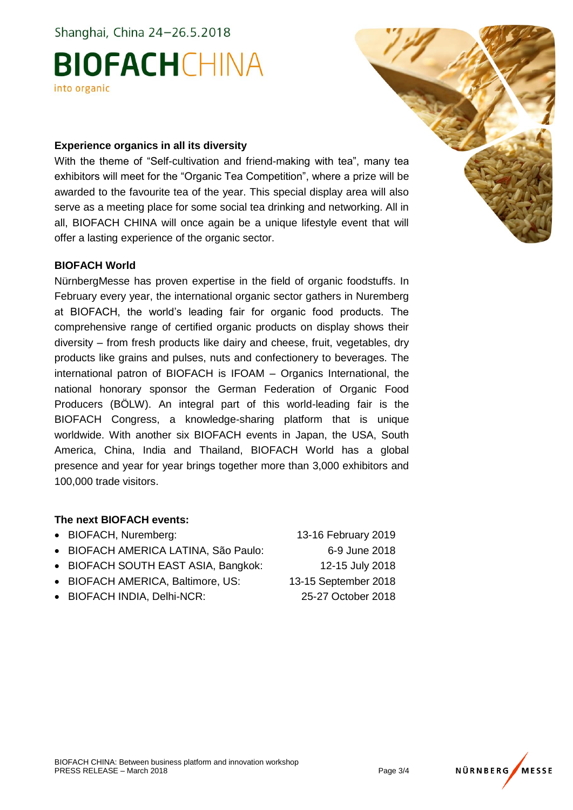# **BIOFACHCHINA** into organic

### **Experience organics in all its diversity**

With the theme of "Self-cultivation and friend-making with tea", many tea exhibitors will meet for the "Organic Tea Competition", where a prize will be awarded to the favourite tea of the year. This special display area will also serve as a meeting place for some social tea drinking and networking. All in all, BIOFACH CHINA will once again be a unique lifestyle event that will offer a lasting experience of the organic sector.

### **BIOFACH World**

NürnbergMesse has proven expertise in the field of organic foodstuffs. In February every year, the international organic sector gathers in Nuremberg at BIOFACH, the world's leading fair for organic food products. The comprehensive range of certified organic products on display shows their diversity – from fresh products like dairy and cheese, fruit, vegetables, dry products like grains and pulses, nuts and confectionery to beverages. The international patron of BIOFACH is IFOAM – Organics International, the national honorary sponsor the German Federation of Organic Food Producers (BÖLW). An integral part of this world-leading fair is the BIOFACH Congress, a knowledge-sharing platform that is unique worldwide. With another six BIOFACH events in Japan, the USA, South America, China, India and Thailand, BIOFACH World has a global presence and year for year brings together more than 3,000 exhibitors and 100,000 trade visitors.

### **The next BIOFACH events:**

- BIOFACH, Nuremberg: 13-16 February 2019
- BIOFACH AMERICA LATINA, São Paulo: 6-9 June 2018
- BIOFACH SOUTH EAST ASIA, Bangkok: 12-15 July 2018
- BIOFACH AMERICA, Baltimore, US: 13-15 September 2018
- BIOFACH INDIA, Delhi-NCR: 25-27 October 2018